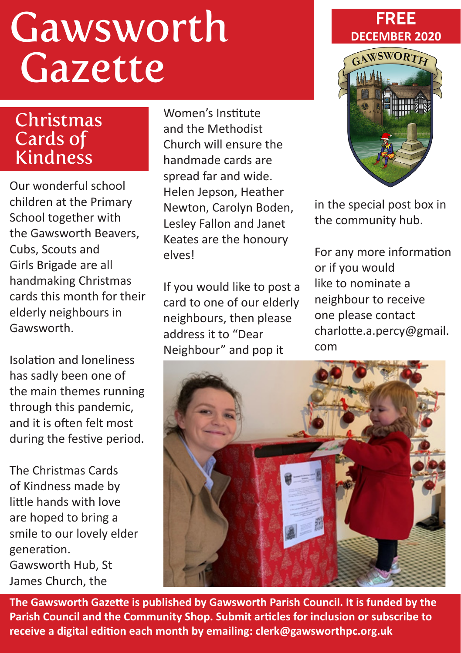# Gawsworth Gazette

#### Christmas Cards of Kindness

Our wonderful school children at the Primary School together with the Gawsworth Beavers, Cubs, Scouts and Girls Brigade are all handmaking Christmas cards this month for their elderly neighbours in Gawsworth.

Isolation and loneliness has sadly been one of the main themes running through this pandemic, and it is often felt most during the festive period.

The Christmas Cards of Kindness made by little hands with love are hoped to bring a smile to our lovely elder generation. Gawsworth Hub, St James Church, the

Women's Institute and the Methodist Church will ensure the handmade cards are spread far and wide. Helen Jepson, Heather Newton, Carolyn Boden, Lesley Fallon and Janet Keates are the honoury elves!

If you would like to post a card to one of our elderly neighbours, then please address it to "Dear Neighbour" and pop it





in the special post box in the community hub.

For any more information or if you would like to nominate a neighbour to receive one please contact charlotte.a.percy@gmail. com



**The Gawsworth Gazette is published by Gawsworth Parish Council. It is funded by the Parish Council and the Community Shop. Submit articles for inclusion or subscribe to receive a digital edition each month by emailing: clerk@gawsworthpc.org.uk**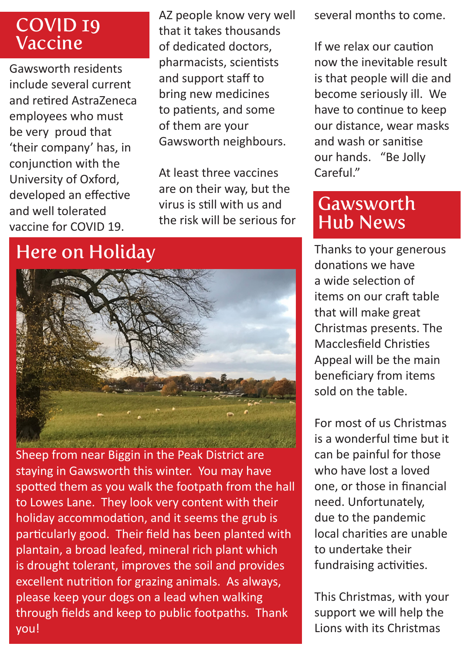#### COVID 19 Vaccine

Gawsworth residents include several current and retired AstraZeneca employees who must be very proud that 'their company' has, in conjunction with the University of Oxford, developed an effective and well tolerated vaccine for COVID 19.

AZ people know very well that it takes thousands of dedicated doctors, pharmacists, scientists and support staff to bring new medicines to patients, and some of them are your Gawsworth neighbours.

At least three vaccines are on their way, but the virus is still with us and the risk will be serious for

## Here on Holiday



Sheep from near Biggin in the Peak District are staying in Gawsworth this winter. You may have spotted them as you walk the footpath from the hall to Lowes Lane. They look very content with their holiday accommodation, and it seems the grub is particularly good. Their field has been planted with plantain, a broad leafed, mineral rich plant which is drought tolerant, improves the soil and provides excellent nutrition for grazing animals. As always, please keep your dogs on a lead when walking through fields and keep to public footpaths. Thank you!

several months to come.

If we relax our caution now the inevitable result is that people will die and become seriously ill. We have to continue to keep our distance, wear masks and wash or sanitise our hands. "Be Jolly Careful"

#### Gawsworth Hub News

Thanks to your generous donations we have a wide selection of items on our craft table that will make great Christmas presents. The Macclesfield Christies Appeal will be the main beneficiary from items sold on the table.

For most of us Christmas is a wonderful time but it can be painful for those who have lost a loved one, or those in financial need. Unfortunately, due to the pandemic local charities are unable to undertake their fundraising activities.

This Christmas, with your support we will help the Lions with its Christmas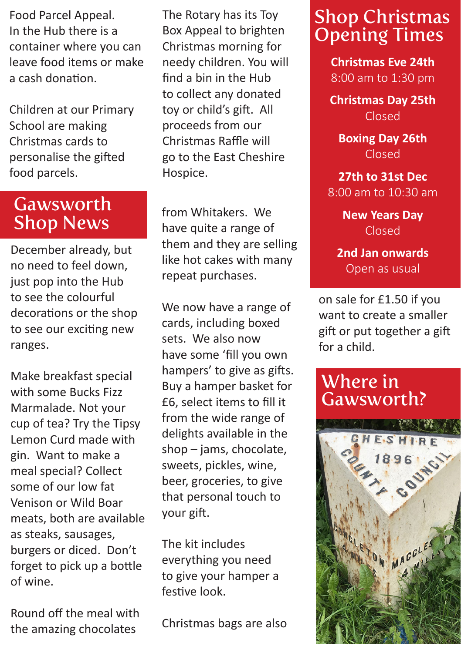Food Parcel Appeal. In the Hub there is a container where you can leave food items or make a cash donation.

Children at our Primary School are making Christmas cards to personalise the gifted food parcels.

#### Gawsworth Shop News

December already, but no need to feel down, just pop into the Hub to see the colourful decorations or the shop to see our exciting new ranges.

Make breakfast special with some Bucks Fizz Marmalade. Not your cup of tea? Try the Tipsy Lemon Curd made with gin. Want to make a meal special? Collect some of our low fat Venison or Wild Boar meats, both are available as steaks, sausages, burgers or diced. Don't forget to pick up a bottle of wine.

Round off the meal with the amazing chocolates

The Rotary has its Toy Box Appeal to brighten Christmas morning for needy children. You will find a bin in the Hub to collect any donated toy or child's gift. All proceeds from our Christmas Raffle will go to the East Cheshire Hospice.

from Whitakers. We have quite a range of them and they are selling like hot cakes with many repeat purchases.

We now have a range of cards, including boxed sets. We also now have some 'fill you own hampers' to give as gifts. Buy a hamper basket for £6, select items to fill it from the wide range of delights available in the shop – jams, chocolate, sweets, pickles, wine, beer, groceries, to give that personal touch to your gift.

The kit includes everything you need to give your hamper a festive look.

Christmas bags are also

## Shop Christmas Opening Times

**Christmas Eve 24th** 8:00 am to 1:30 pm

**Christmas Day 25th** Closed

**Boxing Day 26th** Closed

**27th to 31st Dec**  8:00 am to 10:30 am

> **New Years Day**  Closed

**2nd Jan onwards**  Open as usual

on sale for £1.50 if you want to create a smaller gift or put together a gift for a child.

#### Where in Gawsworth?